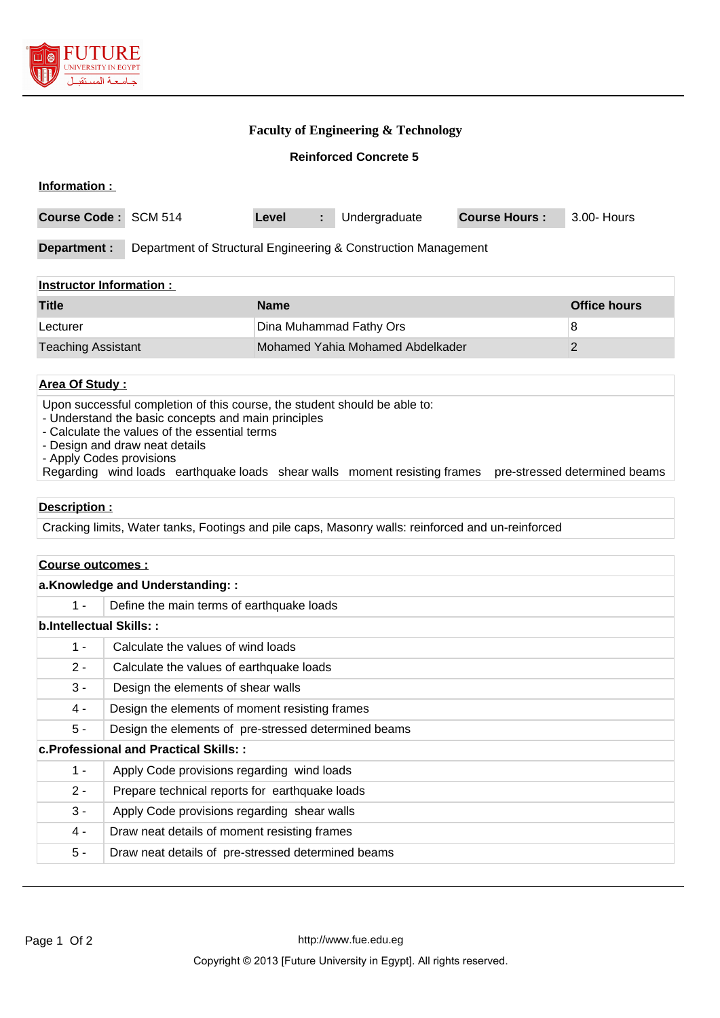

## **Faculty of Engineering & Technology**

**Reinforced Concrete 5**

| Information :                                                                                          |                                                                                                                                 |                                                                                              |                                                                                                                             |                                                                                                                                                                                                                                                                                                 |  |  |
|--------------------------------------------------------------------------------------------------------|---------------------------------------------------------------------------------------------------------------------------------|----------------------------------------------------------------------------------------------|-----------------------------------------------------------------------------------------------------------------------------|-------------------------------------------------------------------------------------------------------------------------------------------------------------------------------------------------------------------------------------------------------------------------------------------------|--|--|
| Course Code: SCM 514                                                                                   |                                                                                                                                 | Undergraduate<br>÷.                                                                          | <b>Course Hours:</b>                                                                                                        | 3.00- Hours                                                                                                                                                                                                                                                                                     |  |  |
| Department of Structural Engineering & Construction Management<br><b>Department:</b>                   |                                                                                                                                 |                                                                                              |                                                                                                                             |                                                                                                                                                                                                                                                                                                 |  |  |
| <b>Instructor Information:</b>                                                                         |                                                                                                                                 |                                                                                              |                                                                                                                             |                                                                                                                                                                                                                                                                                                 |  |  |
|                                                                                                        | <b>Name</b>                                                                                                                     |                                                                                              |                                                                                                                             | <b>Office hours</b>                                                                                                                                                                                                                                                                             |  |  |
|                                                                                                        |                                                                                                                                 |                                                                                              |                                                                                                                             | 8                                                                                                                                                                                                                                                                                               |  |  |
| <b>Teaching Assistant</b>                                                                              |                                                                                                                                 |                                                                                              |                                                                                                                             | $\overline{2}$                                                                                                                                                                                                                                                                                  |  |  |
|                                                                                                        |                                                                                                                                 |                                                                                              |                                                                                                                             |                                                                                                                                                                                                                                                                                                 |  |  |
| - Design and draw neat details<br>- Apply Codes provisions                                             |                                                                                                                                 |                                                                                              |                                                                                                                             | pre-stressed determined beams                                                                                                                                                                                                                                                                   |  |  |
|                                                                                                        |                                                                                                                                 |                                                                                              |                                                                                                                             |                                                                                                                                                                                                                                                                                                 |  |  |
|                                                                                                        |                                                                                                                                 |                                                                                              |                                                                                                                             |                                                                                                                                                                                                                                                                                                 |  |  |
|                                                                                                        |                                                                                                                                 |                                                                                              |                                                                                                                             |                                                                                                                                                                                                                                                                                                 |  |  |
|                                                                                                        |                                                                                                                                 |                                                                                              |                                                                                                                             |                                                                                                                                                                                                                                                                                                 |  |  |
|                                                                                                        |                                                                                                                                 |                                                                                              |                                                                                                                             |                                                                                                                                                                                                                                                                                                 |  |  |
|                                                                                                        |                                                                                                                                 |                                                                                              |                                                                                                                             |                                                                                                                                                                                                                                                                                                 |  |  |
|                                                                                                        |                                                                                                                                 |                                                                                              |                                                                                                                             |                                                                                                                                                                                                                                                                                                 |  |  |
| Calculate the values of earthquake loads                                                               |                                                                                                                                 |                                                                                              |                                                                                                                             |                                                                                                                                                                                                                                                                                                 |  |  |
|                                                                                                        |                                                                                                                                 |                                                                                              |                                                                                                                             |                                                                                                                                                                                                                                                                                                 |  |  |
| Design the elements of shear walls                                                                     |                                                                                                                                 |                                                                                              |                                                                                                                             |                                                                                                                                                                                                                                                                                                 |  |  |
|                                                                                                        |                                                                                                                                 |                                                                                              |                                                                                                                             |                                                                                                                                                                                                                                                                                                 |  |  |
| Design the elements of moment resisting frames<br>Design the elements of pre-stressed determined beams |                                                                                                                                 |                                                                                              |                                                                                                                             |                                                                                                                                                                                                                                                                                                 |  |  |
| c. Professional and Practical Skills: :                                                                |                                                                                                                                 |                                                                                              |                                                                                                                             |                                                                                                                                                                                                                                                                                                 |  |  |
| Apply Code provisions regarding wind loads                                                             |                                                                                                                                 |                                                                                              |                                                                                                                             |                                                                                                                                                                                                                                                                                                 |  |  |
| Prepare technical reports for earthquake loads                                                         |                                                                                                                                 |                                                                                              |                                                                                                                             |                                                                                                                                                                                                                                                                                                 |  |  |
| Apply Code provisions regarding shear walls                                                            |                                                                                                                                 |                                                                                              |                                                                                                                             |                                                                                                                                                                                                                                                                                                 |  |  |
| Draw neat details of moment resisting frames                                                           |                                                                                                                                 |                                                                                              |                                                                                                                             |                                                                                                                                                                                                                                                                                                 |  |  |
|                                                                                                        | <b>Area Of Study:</b><br>Description:<br>Course outcomes :<br>a.Knowledge and Understanding::<br><b>b.Intellectual Skills::</b> | Level<br>- Calculate the values of the essential terms<br>Calculate the values of wind loads | Dina Muhammad Fathy Ors<br>- Understand the basic concepts and main principles<br>Define the main terms of earthquake loads | Mohamed Yahia Mohamed Abdelkader<br>Upon successful completion of this course, the student should be able to:<br>Regarding wind loads earthquake loads shear walls moment resisting frames<br>Cracking limits, Water tanks, Footings and pile caps, Masonry walls: reinforced and un-reinforced |  |  |